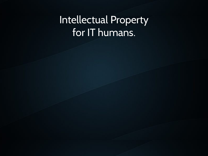### Intellectual Property for IT humans.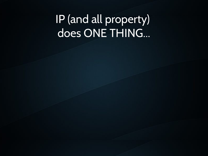## IP (and all property) does ONE THING...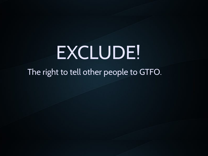# EXCLUDE!

The right to tell other people to GTFO.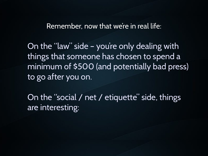Remember, now that we're in real life:

On the "law" side – you're only dealing with things that someone has chosen to spend a minimum of \$500 (and potentially bad press) to go after you on.

On the "social / net / etiquette" side, things are interesting: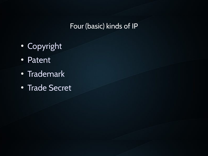#### Four (basic) kinds of IP

- Copyright
- Patent
- Trademark
- Trade Secret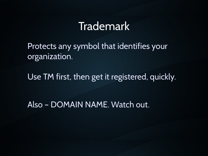#### Trademark

Protects any symbol that identifies your organization.

Use TM first, then get it registered, quickly.

Also – DOMAIN NAME. Watch out.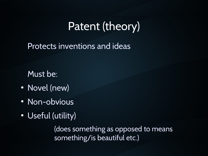## Patent (theory)

Protects inventions and ideas

Must be:

- Novel (new)
- Non-obvious
- Useful (utility)

(does something as opposed to means something/is beautiful etc.)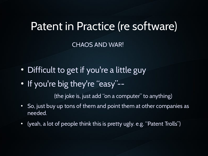#### Patent in Practice (re software)

CHAOS AND WAR!

- Difficult to get if you're a little guy
- If you're big they're "easy"--

(the joke is, just add "on a computer" to anything)

- So, just buy up tons of them and point them at other companies as needed.
- (yeah, a lot of people think this is pretty ugly. e.g. "Patent Trolls")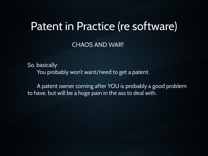#### Patent in Practice (re software)

CHAOS AND WAR!

So, basically: You probably won't want/need to get a patent.

A patent owner coming after YOU is probably a good problem to have, but will be a huge pain in the ass to deal with.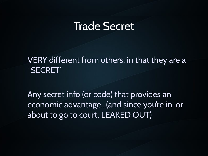#### Trade Secret

VERY different from others, in that they are a "SECRET"

Any secret info (or code) that provides an economic advantage...(and since you're in, or about to go to court, LEAKED OUT)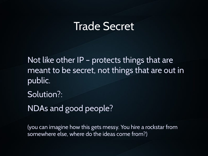#### Trade Secret

Not like other IP – protects things that are meant to be secret, not things that are out in public.

Solution?:

NDAs and good people?

(you can imagine how this gets messy. You hire a rockstar from somewhere else, where do the ideas come from?)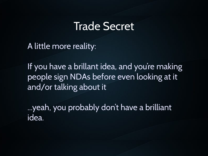#### Trade Secret

A little more reality:

If you have a brillant idea, and you're making people sign NDAs before even looking at it and/or talking about it

...yeah, you probably don't have a brilliant idea.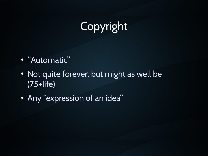## Copyright

- "Automatic"
- Not quite forever, but might as well be (75+life)
- Any "expression of an idea"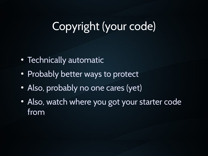## Copyright (your code)

- Technically automatic
- Probably better ways to protect
- Also, probably no one cares (yet)
- Also, watch where you got your starter code from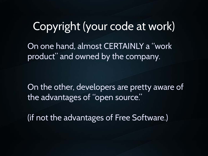Copyright (your code at work) On one hand, almost CERTAINLY a "work product" and owned by the company.

On the other, developers are pretty aware of the advantages of "open source."

(if not the advantages of Free Software.)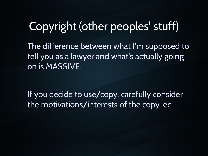## Copyright (other peoples' stuff)

The difference between what I'm supposed to tell you as a lawyer and what's actually going on is MASSIVE.

If you decide to use/copy, carefully consider the motivations/interests of the copy-ee.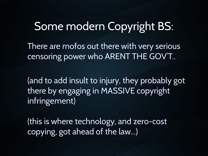## Some modern Copyright BS:

There are mofos out there with very serious censoring power who ARENT THE GOV'T..

(and to add insult to injury, they probably got there by engaging in MASSIVE copyright infringement)

(this is where technology, and zero-cost copying, got ahead of the law...)